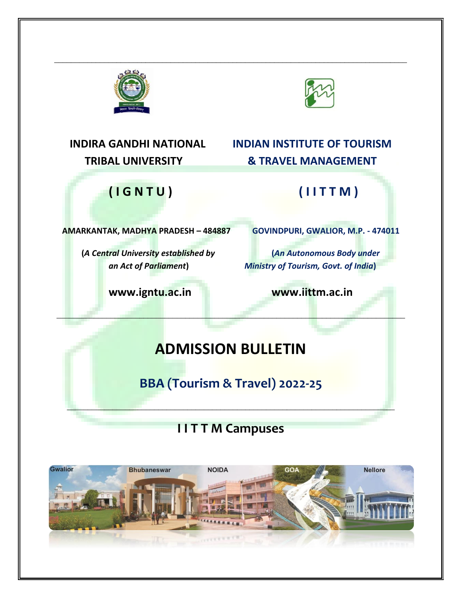



# **INDIRA GANDHI NATIONAL INDIAN INSTITUTE OF TOURISM**

# **TRIBAL UNIVERSITY & TRAVEL MANAGEMENT**

## **( I G N T U ) ( I I T T M )**

**AMARKANTAK, MADHYA PRADESH – 484887 GOVINDPURI, GWALIOR, M.P. - 474011**

**(***A Central University established by* **(***An Autonomous Body under*

*an Act of Parliament***)** *Ministry of Tourism, Govt. of India***)**

**[www.igntu.ac.in](http://www.igntu.ac.in/) www.iittm.ac.in**

## **ADMISSION BULLETIN**

\_\_\_\_\_\_\_\_\_\_\_\_\_\_\_\_\_\_\_\_\_\_\_\_\_\_\_\_\_\_\_\_\_\_\_\_\_\_\_\_\_\_\_\_\_\_\_\_\_\_\_\_\_\_\_\_\_\_\_\_\_\_\_\_\_\_\_\_\_\_\_\_\_\_\_\_\_\_\_\_\_\_\_\_

\_\_\_\_\_\_\_\_\_\_\_\_\_\_\_\_\_\_\_\_\_\_\_\_\_\_\_\_\_\_\_\_\_\_\_\_\_\_\_\_\_\_\_\_\_\_\_\_\_\_\_\_\_\_\_\_\_\_\_\_\_\_\_\_\_\_\_\_\_\_\_\_\_\_\_\_\_\_\_\_\_\_\_\_\_

**BBA (Tourism & Travel) 2022-25**

\_\_\_\_\_\_\_\_\_\_\_\_\_\_\_\_\_\_\_\_\_\_\_\_\_\_\_\_\_\_\_\_\_\_\_\_\_\_\_\_\_\_\_\_\_\_\_\_\_\_\_\_\_\_\_\_\_\_\_\_\_\_\_\_\_\_\_\_\_\_\_\_\_\_\_\_\_\_\_

## **I I T T M Campuses**

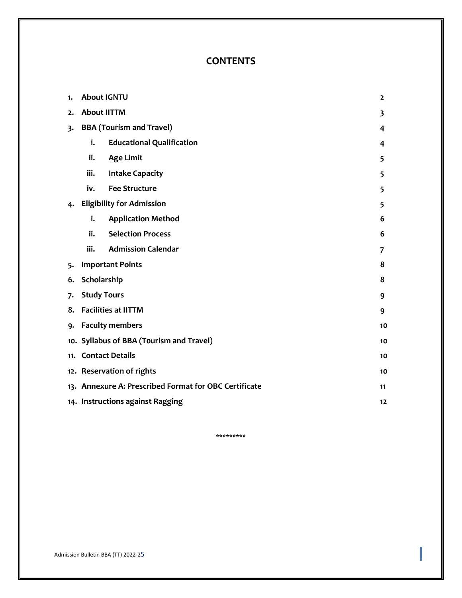### **CONTENTS**

| 1. | <b>About IGNTU</b>                       |                                                       | $\mathbf{z}$ |
|----|------------------------------------------|-------------------------------------------------------|--------------|
| 2. | <b>About IITTM</b>                       |                                                       |              |
| 3. |                                          | <b>BBA</b> (Tourism and Travel)                       | 4            |
|    | i.                                       | <b>Educational Qualification</b>                      | 4            |
|    | ii.                                      | <b>Age Limit</b>                                      | 5            |
|    | iii.                                     | <b>Intake Capacity</b>                                | 5            |
|    | iv.                                      | <b>Fee Structure</b>                                  | 5            |
| 4. |                                          | <b>Eligibility for Admission</b>                      | 5            |
|    | i.                                       | <b>Application Method</b>                             | 6            |
|    | ii.                                      | <b>Selection Process</b>                              | 6            |
|    | iii.                                     | <b>Admission Calendar</b>                             | 7            |
| 5. | <b>Important Points</b>                  |                                                       |              |
| 6. | Scholarship<br>8                         |                                                       |              |
| 7. | <b>Study Tours</b>                       |                                                       |              |
| 8. | <b>Facilities at IITTM</b>               |                                                       |              |
| 9. | <b>Faculty members</b>                   |                                                       |              |
|    | 10. Syllabus of BBA (Tourism and Travel) |                                                       |              |
|    | 11. Contact Details                      |                                                       | 10           |
|    |                                          | 12. Reservation of rights                             | 10           |
|    |                                          | 13. Annexure A: Prescribed Format for OBC Certificate | 11           |
|    | 14. Instructions against Ragging<br>12   |                                                       |              |

\*\*\*\*\*\*\*\*\*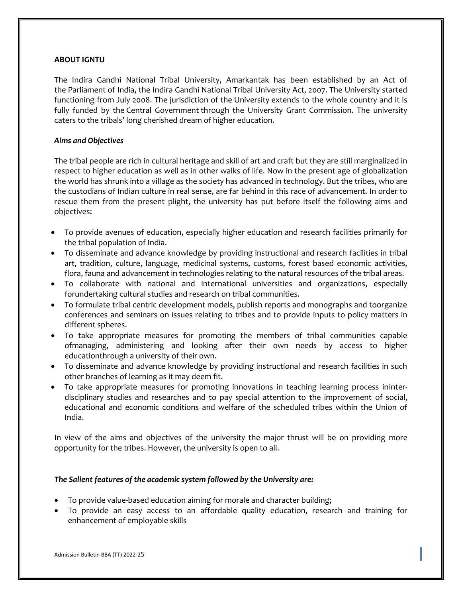#### **ABOUT IGNTU**

The Indira Gandhi National Tribal University, Amarkantak has been established by an Act of the Parliament of India, the Indira Gandhi National Tribal University Act, 2007. The University started functioning from July 2008. The jurisdiction of the University extends to the whole country and it is fully funded by the Central Government through the University Grant Commission. The university caters to the tribals' long cherished dream of higher education.

#### *Aims and Objectives*

The tribal people are rich in cultural heritage and skill of art and craft but they are still marginalized in respect to higher education as well as in other walks of life. Now in the present age of globalization the world has shrunk into a village as the society has advanced in technology. But the tribes, who are the custodians of Indian culture in real sense, are far behind in this race of advancement. In order to rescue them from the present plight, the university has put before itself the following aims and objectives:

- To provide avenues of education, especially higher education and research facilities primarily for the tribal population of India.
- To disseminate and advance knowledge by providing instructional and research facilities in tribal art, tradition, culture, language, medicinal systems, customs, forest based economic activities, flora, fauna and advancement in technologies relating to the natural resources of the tribal areas.
- To collaborate with national and international universities and organizations, especially forundertaking cultural studies and research on tribal communities.
- To formulate tribal centric development models, publish reports and monographs and toorganize conferences and seminars on issues relating to tribes and to provide inputs to policy matters in different spheres.
- To take appropriate measures for promoting the members of tribal communities capable ofmanaging, administering and looking after their own needs by access to higher educationthrough a university of their own.
- To disseminate and advance knowledge by providing instructional and research facilities in such other branches of learning as it may deem fit.
- To take appropriate measures for promoting innovations in teaching learning process ininterdisciplinary studies and researches and to pay special attention to the improvement of social, educational and economic conditions and welfare of the scheduled tribes within the Union of India.

In view of the aims and objectives of the university the major thrust will be on providing more opportunity for the tribes. However, the university is open to all.

#### *The Salient features of the academic system followed by the University are:*

- To provide value-based education aiming for morale and character building;
- To provide an easy access to an affordable quality education, research and training for enhancement of employable skills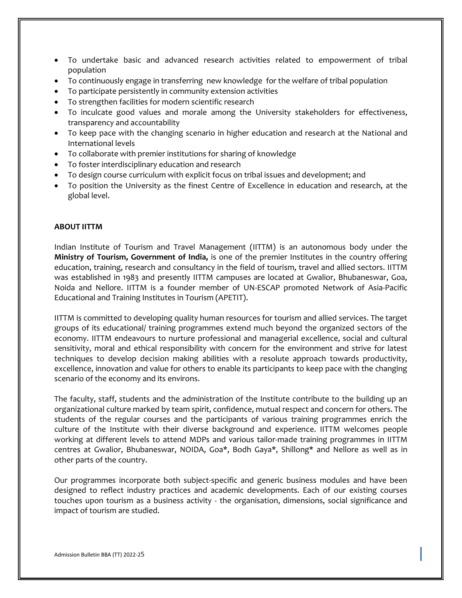- To undertake basic and advanced research activities related to empowerment of tribal population
- To continuously engage in transferring new knowledge for the welfare of tribal population
- To participate persistently in community extension activities
- To strengthen facilities for modern scientific research
- To inculcate good values and morale among the University stakeholders for effectiveness, transparency and accountability
- To keep pace with the changing scenario in higher education and research at the National and International levels
- To collaborate with premier institutions for sharing of knowledge
- To foster interdisciplinary education and research
- To design course curriculum with explicit focus on tribal issues and development; and
- To position the University as the finest Centre of Excellence in education and research, at the global level.

#### **ABOUT IITTM**

Indian Institute of Tourism and Travel Management (IITTM) is an autonomous body under the **Ministry of Tourism, Government of India,** is one of the premier Institutes in the country offering education, training, research and consultancy in the field of tourism, travel and allied sectors. IITTM was established in 1983 and presently IITTM campuses are located at Gwalior, Bhubaneswar, Goa, Noida and Nellore. IITTM is a founder member of UN-ESCAP promoted Network of Asia-Pacific Educational and Training Institutes in Tourism (APETIT).

IITTM is committed to developing quality human resources for tourism and allied services. The target groups of its educational/ training programmes extend much beyond the organized sectors of the economy. IITTM endeavours to nurture professional and managerial excellence, social and cultural sensitivity, moral and ethical responsibility with concern for the environment and strive for latest techniques to develop decision making abilities with a resolute approach towards productivity, excellence, innovation and value for others to enable its participants to keep pace with the changing scenario of the economy and its environs.

The faculty, staff, students and the administration of the Institute contribute to the building up an organizational culture marked by team spirit, confidence, mutual respect and concern for others. The students of the regular courses and the participants of various training programmes enrich the culture of the Institute with their diverse background and experience. IITTM welcomes people working at different levels to attend MDPs and various tailor-made training programmes in IITTM centres at Gwalior, Bhubaneswar, NOIDA, Goa\*, Bodh Gaya\*, Shillong\* and Nellore as well as in other parts of the country.

Our programmes incorporate both subject-specific and generic business modules and have been designed to reflect industry practices and academic developments. Each of our existing courses touches upon tourism as a business activity - the organisation, dimensions, social significance and impact of tourism are studied.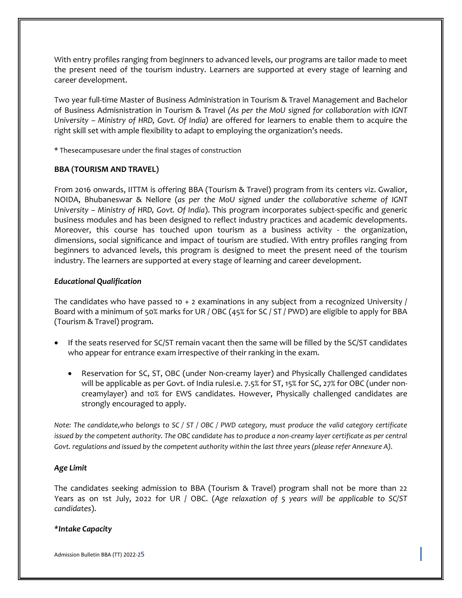With entry profiles ranging from beginners to advanced levels, our programs are tailor made to meet the present need of the tourism industry. Learners are supported at every stage of learning and career development.

Two year full-time Master of Business Administration in Tourism & Travel Management and Bachelor of Business Admisnistration in Tourism & Travel *(As per the MoU signed for collaboration with IGNT University – Ministry of HRD, Govt. Of India)* are offered for learners to enable them to acquire the right skill set with ample flexibility to adapt to employing the organization's needs.

\* Thesecampusesare under the final stages of construction

#### **BBA (TOURISM AND TRAVEL)**

From 2016 onwards, IITTM is offering BBA (Tourism & Travel) program from its centers viz. Gwalior, NOIDA, Bhubaneswar & Nellore (*as per the MoU signed under the collaborative scheme of IGNT University – Ministry of HRD, Govt. Of India*). This program incorporates subject-specific and generic business modules and has been designed to reflect industry practices and academic developments. Moreover, this course has touched upon tourism as a business activity - the organization, dimensions, social significance and impact of tourism are studied. With entry profiles ranging from beginners to advanced levels, this program is designed to meet the present need of the tourism industry. The learners are supported at every stage of learning and career development.

#### *Educational Qualification*

The candidates who have passed 10 + 2 examinations in any subject from a recognized University / Board with a minimum of 50% marks for UR / OBC (45% for SC / ST / PWD) are eligible to apply for BBA (Tourism & Travel) program.

- If the seats reserved for SC/ST remain vacant then the same will be filled by the SC/ST candidates who appear for entrance exam irrespective of their ranking in the exam.
	- Reservation for SC, ST, OBC (under Non-creamy layer) and Physically Challenged candidates will be applicable as per Govt. of India rulesi.e. 7.5% for ST, 15% for SC, 27% for OBC (under noncreamylayer) and 10% for EWS candidates. However, Physically challenged candidates are strongly encouraged to apply.

*Note: The candidate,who belongs to SC / ST / OBC / PWD category, must produce the valid category certificate issued by the competent authority. The OBC candidate has to produce a non-creamy layer certificate as per central Govt. regulations and issued by the competent authority within the last three years (please refer Annexure A).*

#### *Age Limit*

The candidates seeking admission to BBA (Tourism & Travel) program shall not be more than 22 Years as on 1st July, 2022 for UR / OBC. (*Age relaxation of 5 years will be applicable to SC/ST candidates*).

#### *\*Intake Capacity*

Admission Bulletin BBA (TT) 2022-25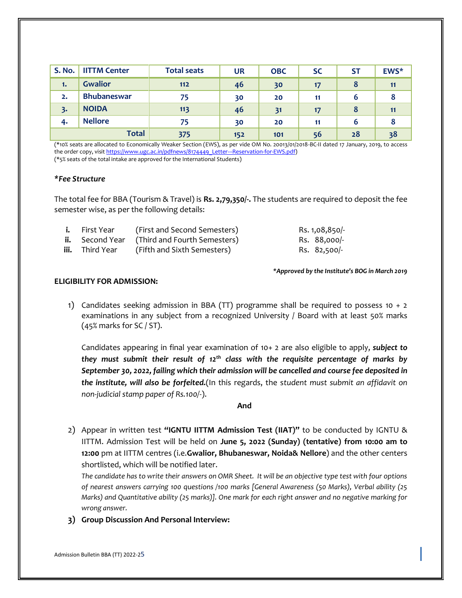| <b>S. No.</b> | <b>IITTM Center</b> | <b>Total seats</b> | <b>UR</b> | <b>OBC</b> | <b>SC</b> | <b>ST</b> | EWS* |
|---------------|---------------------|--------------------|-----------|------------|-----------|-----------|------|
| 1.            | <b>Gwalior</b>      | $112$              | 46        | 30         | 17        | 8         |      |
| 2.            | <b>Bhubaneswar</b>  | 75                 | 30        | 20         | 11        | 6         |      |
| 3.            | <b>NOIDA</b>        | 113                | 46        | 31         | 17        | 8         |      |
| 4.            | <b>Nellore</b>      | 75                 | 30        | 20         | 11        | 6         |      |
| <b>Total</b>  |                     | 375                | 152       | 101        | 56        | 28        | 38   |

(\*10% seats are allocated to Economically Weaker Section (EWS), as per vide OM No. 20013/01/2018-BC-II dated 17 January, 2019, to access the order copy, visi[t https://www.ugc.ac.in/pdfnews/8174449\\_Letter---Reservation-for-EWS.pdf\)](https://www.ugc.ac.in/pdfnews/8174449_Letter---Reservation-for-EWS.pdf) (\*5% seats of the total intake are approved for the International Students)

#### *\*Fee Structure*

The total fee for BBA (Tourism & Travel) is **Rs. 2,79,350/-.** The students are required to deposit the fee semester wise, as per the following details:

| <b>i.</b> First Year   | (First and Second Semesters)                        | Rs. 1,08,850/- |
|------------------------|-----------------------------------------------------|----------------|
|                        | <b>ii.</b> Second Year (Third and Fourth Semesters) | Rs. 88,000/-   |
| <b>iii.</b> Third Year | (Fifth and Sixth Semesters)                         | Rs. 82,500/-   |

*\*Approved by the Institute's BOG in March 2019*

#### **ELIGIBILITY FOR ADMISSION:**

1) Candidates seeking admission in BBA (TT) programme shall be required to possess 10  $+$  2 examinations in any subject from a recognized University / Board with at least 50% marks (45% marks for SC / ST).

Candidates appearing in final year examination of 10+ 2 are also eligible to apply, *subject to they must submit their result of 12th class with the requisite percentage of marks by September 30, 2022, failing which their admission will be cancelled and course fee deposited in the institute, will also be forfeited.*(In this regards, the s*tudent must submit an affidavit on non-judicial stamp paper of Rs.100/-*).

#### **And**

2) Appear in written test **"IGNTU IITTM Admission Test (IIAT)"** to be conducted by IGNTU & IITTM. Admission Test will be held on **June 5, 2022 (Sunday) (tentative) from 10:00 am to 12:00** pm at IITTM centres (i.e.**Gwalior, Bhubaneswar, Noida& Nellore**) and the other centers shortlisted, which will be notified later.

*The candidate has to write their answers on OMR Sheet. It will be an objective type test with four options of nearest answers carrying 100 questions /100 marks [General Awareness (50 Marks), Verbal ability (25 Marks) and Quantitative ability (25 marks)]. One mark for each right answer and no negative marking for wrong answer.*

**3) Group Discussion And Personal Interview:**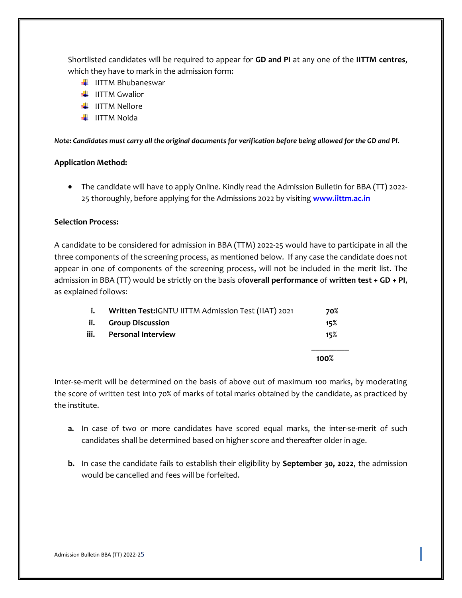Shortlisted candidates will be required to appear for **GD and PI** at any one of the **IITTM centres**, which they have to mark in the admission form:

- $\blacksquare$ IITTM Bhubaneswar
- $\blacksquare$  IITTM Gwalior
- $\blacksquare$  IITTM Nellore
- $\blacksquare$ IITTM Noida

*Note: Candidates must carry all the original documents for verification before being allowed for the GD and PI.*

#### **Application Method:**

• The candidate will have to apply Online. Kindly read the Admission Bulletin for BBA (TT) 2022- 25 thoroughly, before applying for the Admissions 2022 by visiting **[www.iittm.ac.in](http://www.iittm.ac.in/)**

#### **Selection Process:**

A candidate to be considered for admission in BBA (TTM) 2022-25 would have to participate in all the three components of the screening process, as mentioned below. If any case the candidate does not appear in one of components of the screening process, will not be included in the merit list. The admission in BBA (TT) would be strictly on the basis of**overall performance** of **written test + GD + PI**, as explained follows:

|      |                                                     | 100% |
|------|-----------------------------------------------------|------|
| iii. | <b>Personal Interview</b>                           | 15%  |
| ii.  | <b>Group Discussion</b>                             | 15%  |
| i.   | Written Test:IGNTU IITTM Admission Test (IIAT) 2021 | 70%  |

Inter-se-merit will be determined on the basis of above out of maximum 100 marks, by moderating the score of written test into 70% of marks of total marks obtained by the candidate, as practiced by the institute.

- **a.** In case of two or more candidates have scored equal marks, the inter-se-merit of such candidates shall be determined based on higher score and thereafter older in age.
- **b.** In case the candidate fails to establish their eligibility by **September 30, 2022**, the admission would be cancelled and fees will be forfeited.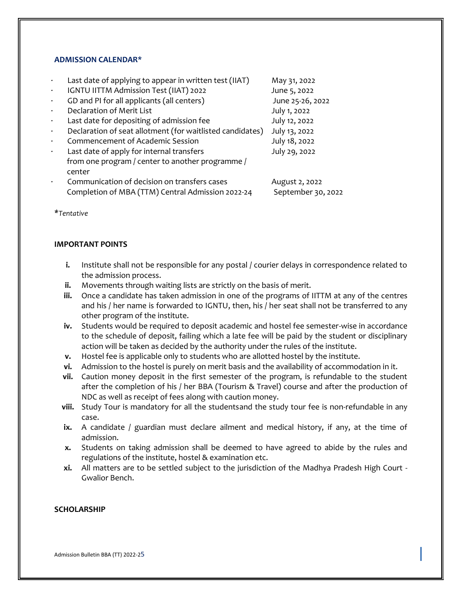#### **ADMISSION CALENDAR\***

|           | Last date of applying to appear in written test (IIAT)    | May 31, 2022       |
|-----------|-----------------------------------------------------------|--------------------|
| $\bullet$ | IGNTU IITTM Admission Test (IIAT) 2022                    | June 5, 2022       |
| $\bullet$ | GD and PI for all applicants (all centers)                | June 25-26, 2022   |
|           | Declaration of Merit List                                 | July 1, 2022       |
| $\bullet$ | Last date for depositing of admission fee                 | July 12, 2022      |
| $\bullet$ | Declaration of seat allotment (for waitlisted candidates) | July 13, 2022      |
|           | Commencement of Academic Session                          | July 18, 2022      |
| $\bullet$ | Last date of apply for internal transfers                 | July 29, 2022      |
|           | from one program / center to another programme /          |                    |
|           | center                                                    |                    |
|           | Communication of decision on transfers cases              | August 2, 2022     |
|           | Completion of MBA (TTM) Central Admission 2022-24         | September 30, 2022 |
|           |                                                           |                    |

*\*Tentative*

#### **IMPORTANT POINTS**

- **i.** Institute shall not be responsible for any postal / courier delays in correspondence related to the admission process.
- **ii.** Movements through waiting lists are strictly on the basis of merit.
- **iii.** Once a candidate has taken admission in one of the programs of IITTM at any of the centres and his / her name is forwarded to IGNTU, then, his / her seat shall not be transferred to any other program of the institute.
- **iv.** Students would be required to deposit academic and hostel fee semester-wise in accordance to the schedule of deposit, failing which a late fee will be paid by the student or disciplinary action will be taken as decided by the authority under the rules of the institute.
- **v.** Hostel fee is applicable only to students who are allotted hostel by the institute.
- **vi.** Admission to the hostel is purely on merit basis and the availability of accommodation in it.
- **vii.** Caution money deposit in the first semester of the program, is refundable to the student after the completion of his / her BBA (Tourism & Travel) course and after the production of NDC as well as receipt of fees along with caution money.
- **viii.** Study Tour is mandatory for all the studentsand the study tour fee is non-refundable in any case.
- **ix.** A candidate / guardian must declare ailment and medical history, if any, at the time of admission.
- **x.** Students on taking admission shall be deemed to have agreed to abide by the rules and regulations of the institute, hostel & examination etc.
- **xi.** All matters are to be settled subject to the jurisdiction of the Madhya Pradesh High Court Gwalior Bench.

#### **SCHOLARSHIP**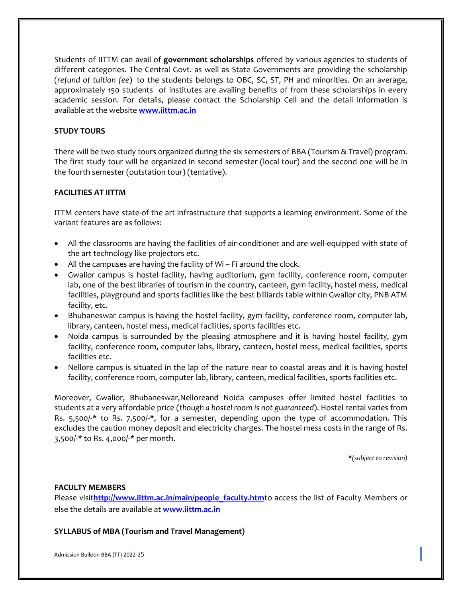Students of IITTM can avail of **government scholarships** offered by various agencies to students of different categories. The Central Govt. as well as State Governments are providing the scholarship (*refund of tuition fee*) to the students belongs to OBC, SC, ST, PH and minorities. On an average, approximately 150 students of institutes are availing benefits of from these scholarships in every academic session. For details, please contact the Scholarship Cell and the detail information is available at the website **[www.iittm.ac.in](http://www.iittm.ac.in/)**

#### **STUDY TOURS**

There will be two study tours organized during the six semesters of BBA (Tourism & Travel) program. The first study tour will be organized in second semester (local tour) and the second one will be in the fourth semester (outstation tour) (tentative).

#### **FACILITIES AT IITTM**

ITTM centers have state-of the art infrastructure that supports a learning environment. Some of the variant features are as follows:

- All the classrooms are having the facilities of air-conditioner and are well-equipped with state of the art technology like projectors etc.
- All the campuses are having the facility of Wi Fi around the clock.
- Gwalior campus is hostel facility, having auditorium, gym facility, conference room, computer lab, one of the best libraries of tourism in the country, canteen, gym facility, hostel mess, medical facilities, playground and sports facilities like the best billiards table within Gwalior city, PNB ATM facility, etc.
- Bhubaneswar campus is having the hostel facility, gym facility, conference room, computer lab, library, canteen, hostel mess, medical facilities, sports facilities etc.
- Noida campus is surrounded by the pleasing atmosphere and it is having hostel facility, gym facility, conference room, computer labs, library, canteen, hostel mess, medical facilities, sports facilities etc.
- Nellore campus is situated in the lap of the nature near to coastal areas and it is having hostel facility, conference room, computer lab, library, canteen, medical facilities, sports facilities etc.

Moreover, Gwalior, Bhubaneswar,Nelloreand Noida campuses offer limited hostel facilities to students at a very affordable price (*though a hostel room is not guaranteed*). Hostel rental varies from Rs. 5,500/-\* to Rs. 7,500/-\*, for a semester, depending upon the type of accommodation. This excludes the caution money deposit and electricity charges. The hostel mess costs in the range of Rs. 3,500/-\* to Rs. 4,000/-\* per month.

\**(subject to revision)*

#### **FACULTY MEMBERS**

Please visit[http://www.iittm.ac.in/main/people\\_faculty.htm](http://www.iittm.ac.in/main/people_faculty.htm)to access the list of Faculty Members or else the details are available at **[www.iittm.ac.in](http://www.iittm.ac.in/)**

**SYLLABUS of MBA (Tourism and Travel Management)**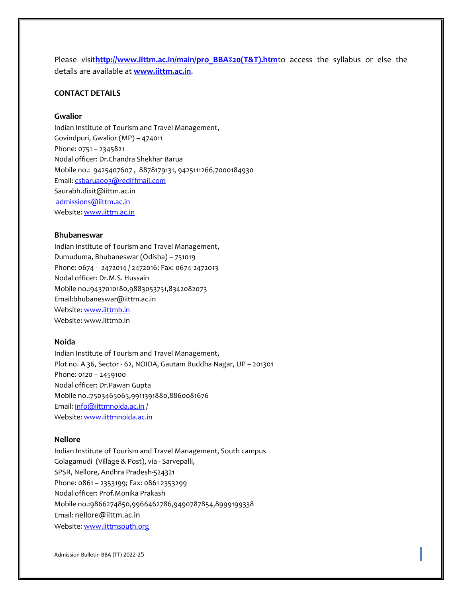Please visit[http://www.iittm.ac.in/main/pro\\_BBA%20\(T&T\).htm](http://www.iittm.ac.in/main/pro_BBA%20(T&T).htm)to access the syllabus or else the details are available at **[www.iittm.ac.in](http://www.iittm.ac.in/)**.

#### **CONTACT DETAILS**

#### **Gwalior**

Indian Institute of Tourism and Travel Management, Govindpuri, Gwalior (MP) – 474011 Phone: 0751 – 2345821 Nodal officer: Dr.Chandra Shekhar Barua Mobile no.: 9425407607 , 8878179131, 9425111266,7000184930 Email[: csbarua003@rediffmail.com](mailto:csbarua003@rediffmail.com) Saurabh.dixit@iittm.ac.in [admissions@iittm.ac.in](mailto:admissions@iittm.ac.in) Website[: www.iittm.ac.in](http://www.iittm.ac.in/)

#### **Bhubaneswar**

Indian Institute of Tourism and Travel Management, Dumuduma, Bhubaneswar (Odisha) – 751019 Phone: 0674 – 2472014 / 2472016; Fax: 0674-2472013 Nodal officer: Dr.M.S. Hussain Mobile no.:9437010180,9883053751,8342082073 Email:bhubaneswar@iittm.ac.in Website[: www.iittmb.in](http://www.iittmb.in/) Website: www.iittmb.in

#### **Noida**

Indian Institute of Tourism and Travel Management, Plot no. A 36, Sector - 62, NOIDA, Gautam Buddha Nagar, UP – 201301 Phone: 0120 – 2459100 Nodal officer: Dr.Pawan Gupta Mobile no.:7503465065,9911391880,8860081676 Email[: info@iittmnoida.ac.in](mailto:info@iittmnoida.ac.in) / Website[: www.iittmnoida.ac.in](http://www.iittmnoida.ac.in/)

#### **Nellore**

Indian Institute of Tourism and Travel Management, South campus Golagamudi (Village & Post), via - Sarvepalli, SPSR, Nellore, Andhra Pradesh-524321 Phone: 0861 – 2353199; Fax: 0861 2353299 Nodal officer: Prof.Monika Prakash Mobile no.:9866274850,9966462786,9490787854,8999199338 Email: nellore@iittm.ac.in Website[: www.iittmsouth.org](http://www.iittmsouth.org/)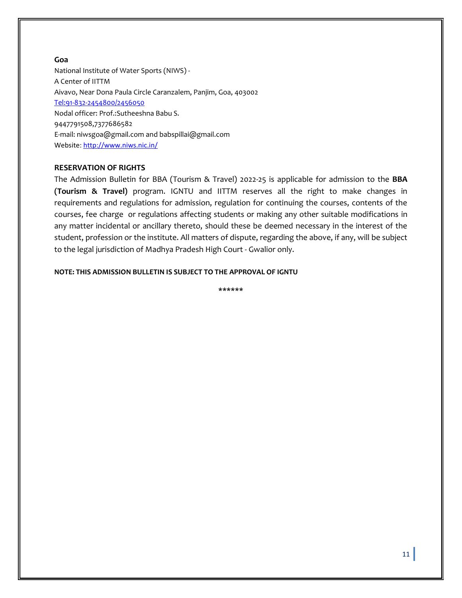#### **Goa**

National Institute of Water Sports (NIWS) - A Center of IITTM Aivavo, Near Dona Paula Circle Caranzalem, Panjim, Goa, 403002 [Tel:91-832-2454800/2456050](tel:91-832-2454800/2456050) Nodal officer: Prof.:Sutheeshna Babu S. 9447791508,7377686582 E-mail: [niwsgoa@gmail.com](mailto:niwsgoa@gmail.com) an[d babspillai@gmail.com](mailto:babspillai@gmail.com) Website[: http://www.niws.nic.in/](http://www.niws.nic.in/)

#### **RESERVATION OF RIGHTS**

The Admission Bulletin for BBA (Tourism & Travel) 2022-25 is applicable for admission to the **BBA (Tourism & Travel)** program. IGNTU and IITTM reserves all the right to make changes in requirements and regulations for admission, regulation for continuing the courses, contents of the courses, fee charge or regulations affecting students or making any other suitable modifications in any matter incidental or ancillary thereto, should these be deemed necessary in the interest of the student, profession or the institute. All matters of dispute, regarding the above, if any, will be subject to the legal jurisdiction of Madhya Pradesh High Court - Gwalior only.

#### **NOTE: THIS ADMISSION BULLETIN IS SUBJECT TO THE APPROVAL OF IGNTU**

**\*\*\*\*\*\***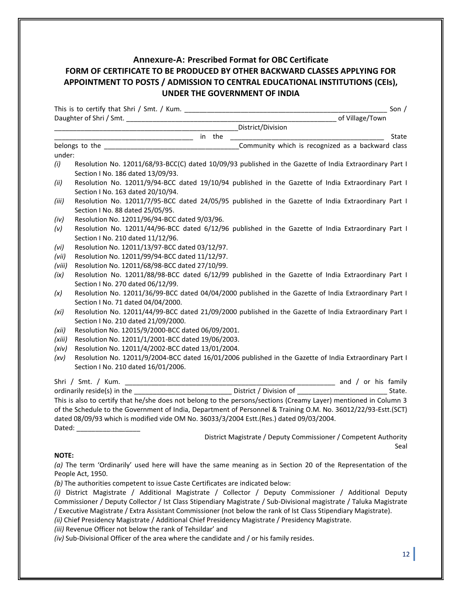### **Annexure-A: Prescribed Format for OBC Certificate FORM OF CERTIFICATE TO BE PRODUCED BY OTHER BACKWARD CLASSES APPLYING FOR APPOINTMENT TO POSTS / ADMISSION TO CENTRAL EDUCATIONAL INSTITUTIONS (CEIs), UNDER THE GOVERNMENT OF INDIA**

|              |                                                                                                                                                                                                                                |                                                                                                                  | Son $/$ |
|--------------|--------------------------------------------------------------------------------------------------------------------------------------------------------------------------------------------------------------------------------|------------------------------------------------------------------------------------------------------------------|---------|
|              |                                                                                                                                                                                                                                |                                                                                                                  |         |
|              |                                                                                                                                                                                                                                |                                                                                                                  |         |
|              |                                                                                                                                                                                                                                |                                                                                                                  | State   |
|              |                                                                                                                                                                                                                                | Community which is recognized as a backward class                                                                |         |
| under:       |                                                                                                                                                                                                                                |                                                                                                                  |         |
| (i)          |                                                                                                                                                                                                                                | Resolution No. 12011/68/93-BCC(C) dated 10/09/93 published in the Gazette of India Extraordinary Part I          |         |
|              | Section I No. 186 dated 13/09/93.                                                                                                                                                                                              |                                                                                                                  |         |
| (ii)         |                                                                                                                                                                                                                                | Resolution No. 12011/9/94-BCC dated 19/10/94 published in the Gazette of India Extraordinary Part I              |         |
|              | Section I No. 163 dated 20/10/94.                                                                                                                                                                                              |                                                                                                                  |         |
| (iii)        |                                                                                                                                                                                                                                | Resolution No. 12011/7/95-BCC dated 24/05/95 published in the Gazette of India Extraordinary Part I              |         |
|              | Section I No. 88 dated 25/05/95.                                                                                                                                                                                               |                                                                                                                  |         |
| (iv)         | Resolution No. 12011/96/94-BCC dated 9/03/96.                                                                                                                                                                                  |                                                                                                                  |         |
| (v)          |                                                                                                                                                                                                                                | Resolution No. 12011/44/96-BCC dated 6/12/96 published in the Gazette of India Extraordinary Part I              |         |
|              | Section I No. 210 dated 11/12/96.                                                                                                                                                                                              |                                                                                                                  |         |
| (vi)         | Resolution No. 12011/13/97-BCC dated 03/12/97.                                                                                                                                                                                 |                                                                                                                  |         |
| (vii)        | Resolution No. 12011/99/94-BCC dated 11/12/97.                                                                                                                                                                                 |                                                                                                                  |         |
| (viii)       | Resolution No. 12011/68/98-BCC dated 27/10/99.                                                                                                                                                                                 |                                                                                                                  |         |
| (ix)         |                                                                                                                                                                                                                                | Resolution No. 12011/88/98-BCC dated 6/12/99 published in the Gazette of India Extraordinary Part I              |         |
|              | Section I No. 270 dated 06/12/99.                                                                                                                                                                                              |                                                                                                                  |         |
| (x)          |                                                                                                                                                                                                                                | Resolution No. 12011/36/99-BCC dated 04/04/2000 published in the Gazette of India Extraordinary Part I           |         |
|              | Section I No. 71 dated 04/04/2000.                                                                                                                                                                                             |                                                                                                                  |         |
| (xi)         |                                                                                                                                                                                                                                | Resolution No. 12011/44/99-BCC dated 21/09/2000 published in the Gazette of India Extraordinary Part I           |         |
|              | Section I No. 210 dated 21/09/2000.                                                                                                                                                                                            |                                                                                                                  |         |
| (xii)        | Resolution No. 12015/9/2000-BCC dated 06/09/2001.                                                                                                                                                                              |                                                                                                                  |         |
| (xiii)       | Resolution No. 12011/1/2001-BCC dated 19/06/2003.                                                                                                                                                                              |                                                                                                                  |         |
| (xiv)        | Resolution No. 12011/4/2002-BCC dated 13/01/2004.                                                                                                                                                                              |                                                                                                                  |         |
| (xv)         |                                                                                                                                                                                                                                | Resolution No. 12011/9/2004-BCC dated 16/01/2006 published in the Gazette of India Extraordinary Part I          |         |
|              | Section I No. 210 dated 16/01/2006.                                                                                                                                                                                            |                                                                                                                  |         |
|              |                                                                                                                                                                                                                                |                                                                                                                  |         |
|              |                                                                                                                                                                                                                                |                                                                                                                  |         |
|              |                                                                                                                                                                                                                                | This is also to certify that he/she does not belong to the persons/sections (Creamy Layer) mentioned in Column 3 |         |
|              |                                                                                                                                                                                                                                | of the Schedule to the Government of India, Department of Personnel & Training O.M. No. 36012/22/93-Estt.(SCT)   |         |
|              | dated 08/09/93 which is modified vide OM No. 36033/3/2004 Estt.(Res.) dated 09/03/2004.                                                                                                                                        |                                                                                                                  |         |
|              | Dated: the contract of the contract of the contract of the contract of the contract of the contract of the contract of the contract of the contract of the contract of the contract of the contract of the contract of the con |                                                                                                                  |         |
|              |                                                                                                                                                                                                                                | District Magistrate / Deputy Commissioner / Competent Authority                                                  |         |
|              |                                                                                                                                                                                                                                |                                                                                                                  | Seal    |
| <b>NOTE:</b> |                                                                                                                                                                                                                                |                                                                                                                  |         |

*(a)* The term 'Ordinarily' used here will have the same meaning as in Section 20 of the Representation of the People Act, 1950.

*(b)* The authorities competent to issue Caste Certificates are indicated below:

*(i)* District Magistrate / Additional Magistrate / Collector / Deputy Commissioner / Additional Deputy Commissioner / Deputy Collector / Ist Class Stipendiary Magistrate / Sub-Divisional magistrate / Taluka Magistrate / Executive Magistrate / Extra Assistant Commissioner (not below the rank of Ist Class Stipendiary Magistrate).

*(ii)* Chief Presidency Magistrate / Additional Chief Presidency Magistrate / Presidency Magistrate.

*(iii)* Revenue Officer not below the rank of Tehsildar' and

*(iv)* Sub-Divisional Officer of the area where the candidate and / or his family resides.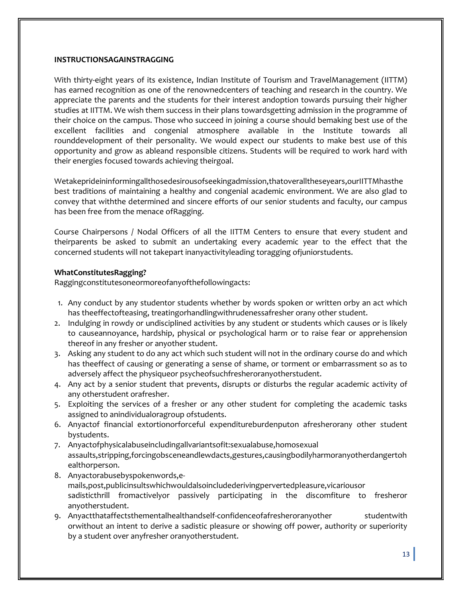#### **INSTRUCTIONSAGAINSTRAGGING**

With thirty-eight years of its existence, Indian Institute of Tourism and TravelManagement (IITTM) has earned recognition as one of the renownedcenters of teaching and research in the country. We appreciate the parents and the students for their interest andoption towards pursuing their higher studies at IITTM. We wish them success in their plans towardsgetting admission in the programme of their choice on the campus. Those who succeed in joining a course should bemaking best use of the excellent facilities and congenial atmosphere available in the Institute towards all rounddevelopment of their personality. We would expect our students to make best use of this opportunity and grow as ableand responsible citizens. Students will be required to work hard with their energies focused towards achieving theirgoal.

Wetakeprideininformingallthosedesirousofseekingadmission,thatoveralltheseyears,ourIITTMhasthe best traditions of maintaining a healthy and congenial academic environment. We are also glad to convey that withthe determined and sincere efforts of our senior students and faculty, our campus has been free from the menace ofRagging.

Course Chairpersons / Nodal Officers of all the IITTM Centers to ensure that every student and theirparents be asked to submit an undertaking every academic year to the effect that the concerned students will not takepart inanyactivityleading toragging ofjuniorstudents.

#### **WhatConstitutesRagging?**

Raggingconstitutesoneormoreofanyofthefollowingacts:

- 1. Any conduct by any studentor students whether by words spoken or written orby an act which has theeffectofteasing, treatingorhandlingwithrudenessafresher orany other student.
- 2. Indulging in rowdy or undisciplined activities by any student or students which causes or is likely to causeannoyance, hardship, physical or psychological harm or to raise fear or apprehension thereof in any fresher or anyother student.
- 3. Asking any student to do any act which such student will not in the ordinary course do and which has theeffect of causing or generating a sense of shame, or torment or embarrassment so as to adversely affect the physiqueor psycheofsuchfresheroranyotherstudent.
- 4. Any act by a senior student that prevents, disrupts or disturbs the regular academic activity of any otherstudent orafresher.
- 5. Exploiting the services of a fresher or any other student for completing the academic tasks assigned to anindividualoragroup ofstudents.
- 6. Anyactof financial extortionorforceful expenditureburdenputon afresherorany other student bystudents.
- 7. Anyactofphysicalabuseincludingallvariantsofit:sexualabuse,homosexual assaults,stripping,forcingobsceneandlewdacts,gestures,causingbodilyharmoranyotherdangertoh ealthorperson.
- 8. Anyactorabusebyspokenwords,emails,post,publicinsultswhichwouldalsoincludederivingpervertedpleasure,vicariousor sadisticthrill fromactivelyor passively participating in the discomfiture to fresheror anyotherstudent.
- 9. Anyactthataffectsthementalhealthandself-confidenceofafresheroranyother studentwith orwithout an intent to derive a sadistic pleasure or showing off power, authority or superiority by a student over anyfresher oranyotherstudent.